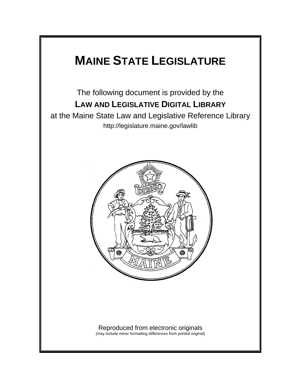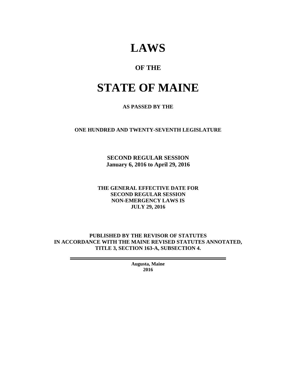# **LAWS**

# **OF THE**

# **STATE OF MAINE**

## **AS PASSED BY THE**

**ONE HUNDRED AND TWENTY-SEVENTH LEGISLATURE** 

**SECOND REGULAR SESSION January 6, 2016 to April 29, 2016** 

**THE GENERAL EFFECTIVE DATE FOR SECOND REGULAR SESSION NON-EMERGENCY LAWS IS JULY 29, 2016** 

**PUBLISHED BY THE REVISOR OF STATUTES IN ACCORDANCE WITH THE MAINE REVISED STATUTES ANNOTATED, TITLE 3, SECTION 163-A, SUBSECTION 4.** 

> **Augusta, Maine 2016**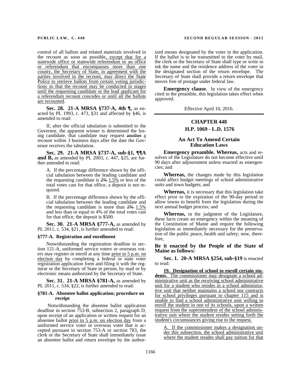control of all ballots and related materials involved in the recount as soon as possible, except that for a statewide office or statewide referendum or an office or referendum that encompasses more than one county, the Secretary of State, in agreement with the parties involved in the recount, may direct the State Police to retrieve ballots from certain voting jurisdictions so that the recount may be conducted in stages until the requesting candidate or the lead applicant for a referendum recount concedes or until all the ballots are recounted.

**Sec. 28. 21-A MRSA §737-A, 4th ¶,** as enacted by PL 1993, c. 473, §31 and affected by §46, is amended to read:

If, after the official tabulation is submitted to the Governor, the apparent winner is determined the losing candidate, that candidate may request another  $a$ recount within 3 business days after the date the Governor receives the tabulation.

**Sec. 29. 21-A MRSA §737-A, sub-§1, ¶¶A and B,** as amended by PL 2003, c. 447, §25, are further amended to read:

A. If the percentage difference shown by the official tabulation between the leading candidate and the requesting candidate is  $2\%$  1.5% or less of the total votes cast for that office, a deposit is not required.

B. If the percentage difference shown by the official tabulation between the leading candidate and the requesting candidate is more than  $2\%$  1.5% and less than or equal to 4% of the total votes cast for that office, the deposit is \$500.

**Sec. 30. 21-A MRSA §777-A,** as amended by PL 2011, c. 534, §21, is further amended to read:

#### **§777-A. Registration and enrollment**

Notwithstanding the registration deadline in section 121-A, uniformed service voters or overseas voters may register or enroll at any time prior to 5 p.m. on election day by completing a federal or state voter registration application form and filing it with the registrar or the Secretary of State in person, by mail or by electronic means authorized by the Secretary of State.

**Sec. 31. 21-A MRSA §781-A,** as amended by PL 2011, c. 534, §22, is further amended to read:

#### **§781-A. Absentee ballot application; procedure on receipt**

 Notwithstanding the absentee ballot application deadline in section 753-B, subsection 2, paragraph D, upon receipt of an application or written request for an absentee ballot prior to 5 p.m. on election day from a uniformed service voter or overseas voter that is accepted pursuant to section 753-A or section 783, the clerk or the Secretary of State shall immediately issue an absentee ballot and return envelope by the author-

#### **PUBLIC LAW, C . 448 SECOND REGULAR SESSION - 2015**

ized means designated by the voter in the application. If the ballot is to be transmitted to the voter by mail, the clerk or the Secretary of State shall type or write in ink the name and the residence address of the voter in the designated section of the return envelope. The Secretary of State shall provide a return envelope that moves free of postage under federal law.

**Emergency clause.** In view of the emergency cited in the preamble, this legislation takes effect when approved.

Effective April 10, 2016.

# **CHAPTER 448 H.P. 1069 - L.D. 1576**

## **An Act To Amend Certain Education Laws**

**Emergency preamble. Whereas,** acts and resolves of the Legislature do not become effective until 90 days after adjournment unless enacted as emergencies; and

**Whereas,** the changes made by this legislation could affect budget meetings of school administrative units and town budgets; and

**Whereas,** it is necessary that this legislation take effect prior to the expiration of the 90-day period to allow towns to benefit from the legislation during the next annual budget process; and

**Whereas,** in the judgment of the Legislature, these facts create an emergency within the meaning of the Constitution of Maine and require the following legislation as immediately necessary for the preservation of the public peace, health and safety; now, therefore,

**Be it enacted by the People of the State of Maine as follows:** 

**Sec. 1. 20-A MRSA §254, sub-§19** is enacted to read:

**19. Designation of school to enroll certain stu**dents. The commissioner may designate a school administrative unit as the receiving school administrative unit for a student who resides in a school administrative unit that neither maintains a school nor contracts for school privileges pursuant to chapter 115 and is unable to find a school administrative unit willing to enroll the student in one of its schools, upon a written request from the superintendent of the school administrative unit where the student resides setting forth the student's circumstances giving rise to the request.

If the commissioner makes a designation under this subsection, the school administrative unit where the student resides shall pay tuition for that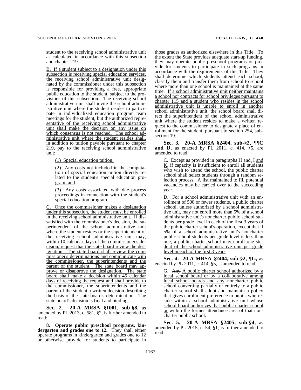student to the receiving school administrative unit as calculated in accordance with this subsection and chapter 219.

B. If a student subject to a designation under this subsection is receiving special education services, the receiving school administrative unit designated by the commissioner under this subsection is responsible for providing a free, appropriate public education to the student, subject to the provisions of this subsection. The receiving school administrative unit shall invite the school administrative unit where the student resides to participate in individualized education program team meetings for the student, but the authorized representative of the receiving school administrative unit shall make the decision on any issue on which consensus is not reached. The school administrative unit where the student resides shall, in addition to tuition payable pursuant to chapter 219, pay to the receiving school administrative unit:

(1) Special education tuition;

(2) Any costs not included in the computation of special education tuition directly related to the student's special education program; and

(3) Any costs associated with due process proceedings in connection with the student's special education program.

Once the commissioner makes a designation under this subsection, the student must be enrolled in the receiving school administrative unit. If dissatisfied with the commissioner's decision, the superintendent of the school administrative unit where the student resides or the superintendent of the receiving school administrative unit may, within 10 calendar days of the commissioner's decision, request that the state board review the designation. The state board shall review the commissioner's determinations and communicate with the commissioner, the superintendents and the parent of the student. The state board may approve or disapprove the designation. The state board shall make a decision within 45 calendar days of receiving the request and shall provide to the commissioner, the superintendents and the parent of the student a written decision describing the basis of the state board's determination. The state board's decision is final and binding.

**Sec. 2. 20-A MRSA §1001, sub-§8,** as amended by PL 2013, c. 581, §2, is further amended to read:

**8. Operate public preschool programs, kindergarten and grades one to 12.** They shall either operate programs in kindergarten and grades one to 12 or otherwise provide for students to participate in

those grades as authorized elsewhere in this Title. To the extent the State provides adequate start-up funding, they may operate public preschool programs or provide for students to participate in such programs in accordance with the requirements of this Title. They shall determine which students attend each school, classify them and transfer them from school to school where more than one school is maintained at the same time. If a school administrative unit neither maintains a school nor contracts for school privileges pursuant to chapter 115 and a student who resides in the school administrative unit is unable to enroll in another school administrative unit, the school board shall direct the superintendent of the school administrative unit where the student resides to make a written request to the commissioner to designate a place of enrollment for the student, pursuant to section 254, subsection 19.

**Sec. 3. 20-A MRSA §2404, sub-§2, ¶¶C and D,** as enacted by PL 2011, c. 414, §5, are amended to read:

C. Except as provided in paragraphs H and, I and  $K$ , if capacity is insufficient to enroll all students who wish to attend the school, the public charter school shall select students through a random selection process. A list maintained to fill potential vacancies may be carried over to the succeeding year.

D. For a school administrative unit with an enrollment of 500 or fewer students, a public charter school, unless authorized by a school administrative unit, may not enroll more than 5% of a school administrative unit's noncharter public school students per grade level in each of the first 3 years of the public charter school's operation, except that if 5% of a school administrative unit's noncharter public school students per grade level is less than one, a public charter school may enroll one student of the school administrative unit per grade level in each of the first 3 years.

**Sec. 4. 20-A MRSA §2404, sub-§2, ¶G,** as enacted by PL 2011, c. 414, §5, is amended to read:

G. Any A public charter school authorized by a local school board or by a collaborative among local school boards and any noncharter public school converting partially or entirely to a public charter school shall adopt and maintain a policy that gives enrollment preference to pupils who reside within a school administrative unit whose school board authorizes that public charter school or within the former attendance area of that noncharter public school.

**Sec. 5. 20-A MRSA §2405, sub-§4,** as amended by PL 2015, c. 54, §1, is further amended to read: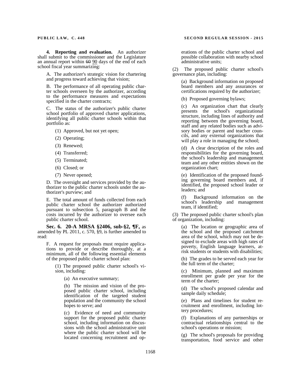**4. Reporting and evaluation.** An authorizer shall submit to the commissioner and the Legislature an annual report within  $60$   $90$  days of the end of each school fiscal year summarizing:

A. The authorizer's strategic vision for chartering and progress toward achieving that vision;

B. The performance of all operating public charter schools overseen by the authorizer, according to the performance measures and expectations specified in the charter contracts;

C. The status of the authorizer's public charter school portfolio of approved charter applications, identifying all public charter schools within that portfolio as:

- (1) Approved, but not yet open;
- (2) Operating;
- (3) Renewed;
- (4) Transferred;
- (5) Terminated;
- (6) Closed; or
- (7) Never opened;

D. The oversight and services provided by the authorizer to the public charter schools under the authorizer's purview; and

E. The total amount of funds collected from each public charter school the authorizer authorized pursuant to subsection 5, paragraph B and the costs incurred by the authorizer to oversee each public charter school.

**Sec. 6. 20-A MRSA §2406, sub-§2, ¶F,** as amended by PL 2011, c. 570, §9, is further amended to read:

F. A request for proposals must require applications to provide or describe thoroughly, at a minimum, all of the following essential elements of the proposed public charter school plan:

(1) The proposed public charter school's vision, including:

(a) An executive summary;

(b) The mission and vision of the proposed public charter school, including identification of the targeted student population and the community the school hopes to serve; and

(c) Evidence of need and community support for the proposed public charter school, including information on discussions with the school administrative unit where the public charter school will be located concerning recruitment and operations of the public charter school and possible collaboration with nearby school administrative units;

(2) The proposed public charter school's governance plan, including:

> (a) Background information on proposed board members and any assurances or certifications required by the authorizer;

(b) Proposed governing bylaws;

(c) An organization chart that clearly presents the school's organizational structure, including lines of authority and reporting between the governing board, staff and any related bodies such as advisory bodies or parent and teacher councils, and any external organizations that will play a role in managing the school;

(d) A clear description of the roles and responsibilities for the governing board, the school's leadership and management team and any other entities shown on the organization chart;

(e) Identification of the proposed founding governing board members and, if identified, the proposed school leader or leaders; and

Background information on the school's leadership and management team, if identified;

(3) The proposed public charter school's plan of organization, including:

(a) The location or geographic area of the school and the proposed catchment area of the school, which may not be designed to exclude areas with high rates of poverty, English language learners, atrisk students or students with disabilities;

(b) The grades to be served each year for the full term of the charter;

(c) Minimum, planned and maximum enrollment per grade per year for the term of the charter;

(d) The school's proposed calendar and sample daily schedule;

(e) Plans and timelines for student recruitment and enrollment, including lottery procedures;

(f) Explanations of any partnerships or contractual relationships central to the school's operations or mission;

(g) The school's proposals for providing transportation, food service and other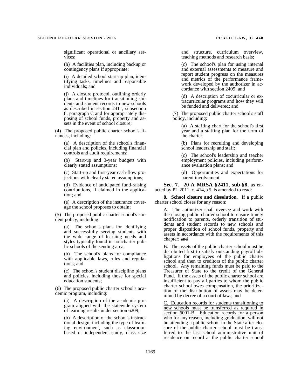significant operational or ancillary services;

(h) A facilities plan, including backup or contingency plans if appropriate;

(i) A detailed school start-up plan, identifying tasks, timelines and responsible individuals; and

(j) A closure protocol, outlining orderly plans and timelines for transitioning students and student records to new schools as described in section 2411, subsection 8, paragraph C and for appropriately disposing of school funds, property and assets in the event of school closure;

(4) The proposed public charter school's finances, including:

(a) A description of the school's financial plan and policies, including financial controls and audit requirements;

(b) Start-up and 3-year budgets with clearly stated assumptions;

(c) Start-up and first-year cash-flow projections with clearly stated assumptions;

(d) Evidence of anticipated fund-raising contributions, if claimed in the application; and

(e) A description of the insurance coverage the school proposes to obtain;

(5) The proposed public charter school's student policy, including:

(a) The school's plans for identifying and successfully serving students with the wide range of learning needs and styles typically found in noncharter public schools of the sending area;

(b) The school's plans for compliance with applicable laws, rules and regulations; and

(c) The school's student discipline plans and policies, including those for special education students;

(6) The proposed public charter school's academic program, including:

(a) A description of the academic program aligned with the statewide system of learning results under section 6209;

(b) A description of the school's instructional design, including the type of learning environment, such as classroombased or independent study, class size and structure, curriculum overview, teaching methods and research basis;

(c) The school's plan for using internal and external assessments to measure and report student progress on the measures and metrics of the performance framework developed by the authorizer in accordance with section 2409; and

(d) A description of cocurricular or extracurricular programs and how they will be funded and delivered; and

(7) The proposed public charter school's staff policy, including:

(a) A staffing chart for the school's first year and a staffing plan for the term of the charter;

(b) Plans for recruiting and developing school leadership and staff;

(c) The school's leadership and teacher employment policies, including performance evaluation plans; and

(d) Opportunities and expectations for parent involvement.

**Sec. 7. 20-A MRSA §2411, sub-§8,** as enacted by PL 2011, c. 414, §5, is amended to read:

**8. School closure and dissolution.** If a public charter school closes for any reason:

A. The authorizer shall oversee and work with the closing public charter school to ensure timely notification to parents, orderly transition of students and student records to new schools and proper disposition of school funds, property and assets in accordance with the requirements of this chapter; and

B. The assets of the public charter school must be distributed first to satisfy outstanding payroll obligations for employees of the public charter school and then to creditors of the public charter school. Any remaining funds must be paid to the Treasurer of State to the credit of the General Fund. If the assets of the public charter school are insufficient to pay all parties to whom the public charter school owes compensation, the prioritization of the distribution of assets may be determined by decree of a court of law.; and

C. Education records for students transitioning to new schools must be transferred as required in section 6001-B. Education records for a person who for any reason, including graduation, will not be attending a public school in the State after closure of the public charter school must be transferred to the last school administrative unit of residence on record at the public charter school